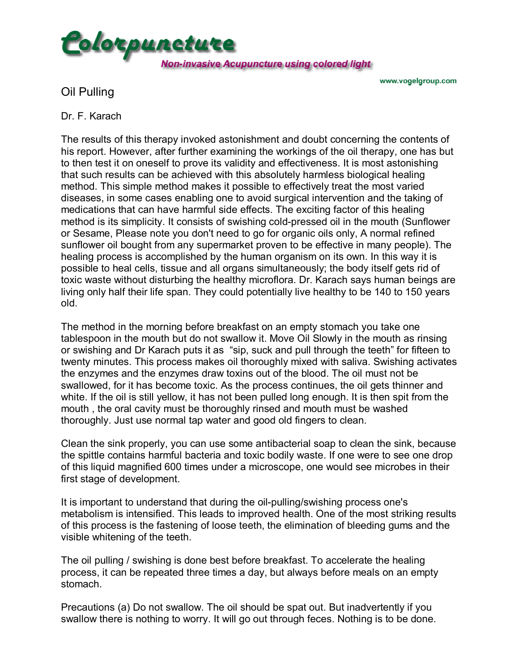

www.vogelgroup.com

Oil Pulling

## Dr. F. Karach

The results of this therapy invoked astonishment and doubt concerning the contents of his report. However, after further examining the workings of the oil therapy, one has but to then test it on oneself to prove its validity and effectiveness. It is most astonishing that such results can be achieved with this absolutely harmless biological healing method. This simple method makes it possible to effectively treat the most varied diseases, in some cases enabling one to avoid surgical intervention and the taking of medications that can have harmful side effects. The exciting factor of this healing method is its simplicity. It consists of swishing cold-pressed oil in the mouth (Sunflower or Sesame, Please note you don't need to go for organic oils only, A normal refined sunflower oil bought from any supermarket proven to be effective in many people). The healing process is accomplished by the human organism on its own. In this way it is possible to heal cells, tissue and all organs simultaneously; the body itself gets rid of toxic waste without disturbing the healthy microflora. Dr. Karach says human beings are living only half their life span. They could potentially live healthy to be 140 to 150 years old.

The method in the morning before breakfast on an empty stomach you take one tablespoon in the mouth but do not swallow it. Move Oil Slowly in the mouth as rinsing or swishing and Dr Karach puts it as "sip, suck and pull through the teeth" for fifteen to twenty minutes. This process makes oil thoroughly mixed with saliva. Swishing activates the enzymes and the enzymes draw toxins out of the blood. The oil must not be swallowed, for it has become toxic. As the process continues, the oil gets thinner and white. If the oil is still yellow, it has not been pulled long enough. It is then spit from the mouth , the oral cavity must be thoroughly rinsed and mouth must be washed thoroughly. Just use normal tap water and good old fingers to clean.

Clean the sink properly, you can use some antibacterial soap to clean the sink, because the spittle contains harmful bacteria and toxic bodily waste. If one were to see one drop of this liquid magnified 600 times under a microscope, one would see microbes in their first stage of development.

It is important to understand that during the oil-pulling/swishing process one's metabolism is intensified. This leads to improved health. One of the most striking results of this process is the fastening of loose teeth, the elimination of bleeding gums and the visible whitening of the teeth.

The oil pulling / swishing is done best before breakfast. To accelerate the healing process, it can be repeated three times a day, but always before meals on an empty stomach.

Precautions (a) Do not swallow. The oil should be spat out. But inadvertently if you swallow there is nothing to worry. It will go out through feces. Nothing is to be done.